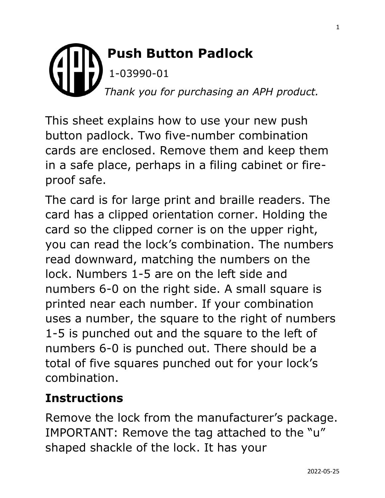## **Push Button Padlock** 1-03990-01 *Thank you for purchasing an APH product.*

This sheet explains how to use your new push button padlock. Two five-number combination cards are enclosed. Remove them and keep them in a safe place, perhaps in a filing cabinet or fireproof safe.

The card is for large print and braille readers. The card has a clipped orientation corner. Holding the card so the clipped corner is on the upper right, you can read the lock's combination. The numbers read downward, matching the numbers on the lock. Numbers 1-5 are on the left side and numbers 6-0 on the right side. A small square is printed near each number. If your combination uses a number, the square to the right of numbers 1-5 is punched out and the square to the left of numbers 6-0 is punched out. There should be a total of five squares punched out for your lock's combination.

## **Instructions**

Remove the lock from the manufacturer's package. IMPORTANT: Remove the tag attached to the "u" shaped shackle of the lock. It has your